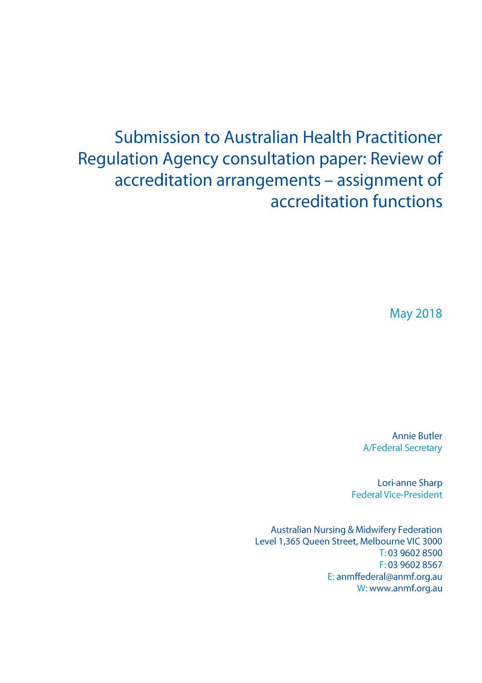# **Submission to Australian Health Practitioner** Regulation Agency consultation paper: Review of accreditation arrangements - assignment of accreditation functions

**May 2018** 

**Annie Butler A/Federal Secretary** 

Lori-anne Sharp **Federal Vice-President** 

**Australian Nursing & Midwifery Federation** Level 1,365 Queen Street, Melbourne VIC 3000 T: 03 9602 8500 F: 03 9602 8567 E: anmffederal@anmf.org.au W: www.anmf.org.au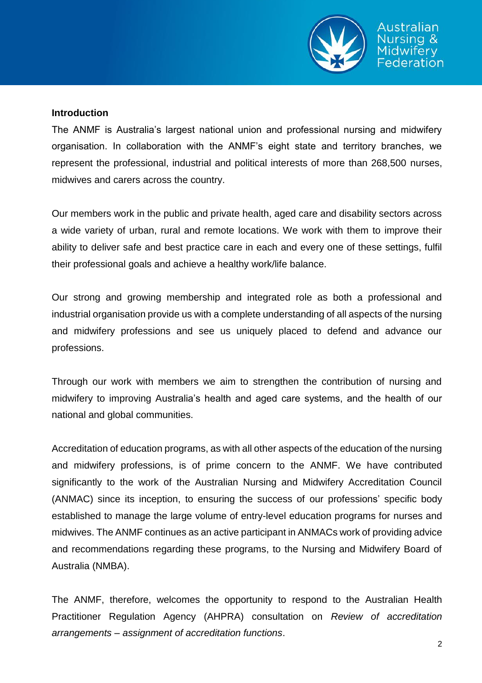

#### **Introduction**

The ANMF is Australia's largest national union and professional nursing and midwifery organisation. In collaboration with the ANMF's eight state and territory branches, we represent the professional, industrial and political interests of more than 268,500 nurses, midwives and carers across the country.

Our members work in the public and private health, aged care and disability sectors across a wide variety of urban, rural and remote locations. We work with them to improve their ability to deliver safe and best practice care in each and every one of these settings, fulfil their professional goals and achieve a healthy work/life balance.

Our strong and growing membership and integrated role as both a professional and industrial organisation provide us with a complete understanding of all aspects of the nursing and midwifery professions and see us uniquely placed to defend and advance our professions.

Through our work with members we aim to strengthen the contribution of nursing and midwifery to improving Australia's health and aged care systems, and the health of our national and global communities.

Accreditation of education programs, as with all other aspects of the education of the nursing and midwifery professions, is of prime concern to the ANMF. We have contributed significantly to the work of the Australian Nursing and Midwifery Accreditation Council (ANMAC) since its inception, to ensuring the success of our professions' specific body established to manage the large volume of entry-level education programs for nurses and midwives. The ANMF continues as an active participant in ANMACs work of providing advice and recommendations regarding these programs, to the Nursing and Midwifery Board of Australia (NMBA).

The ANMF, therefore, welcomes the opportunity to respond to the Australian Health Practitioner Regulation Agency (AHPRA) consultation on *Review of accreditation arrangements – assignment of accreditation functions*.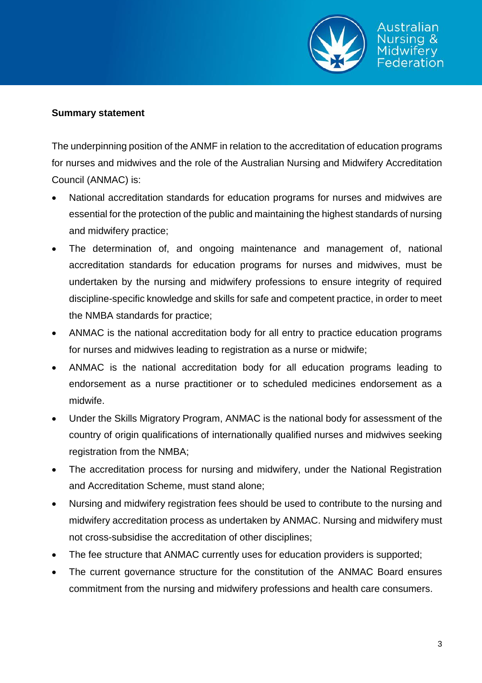

#### **Summary statement**

The underpinning position of the ANMF in relation to the accreditation of education programs for nurses and midwives and the role of the Australian Nursing and Midwifery Accreditation Council (ANMAC) is:

- National accreditation standards for education programs for nurses and midwives are essential for the protection of the public and maintaining the highest standards of nursing and midwifery practice;
- The determination of, and ongoing maintenance and management of, national accreditation standards for education programs for nurses and midwives, must be undertaken by the nursing and midwifery professions to ensure integrity of required discipline-specific knowledge and skills for safe and competent practice, in order to meet the NMBA standards for practice;
- ANMAC is the national accreditation body for all entry to practice education programs for nurses and midwives leading to registration as a nurse or midwife;
- ANMAC is the national accreditation body for all education programs leading to endorsement as a nurse practitioner or to scheduled medicines endorsement as a midwife.
- Under the Skills Migratory Program, ANMAC is the national body for assessment of the country of origin qualifications of internationally qualified nurses and midwives seeking registration from the NMBA;
- The accreditation process for nursing and midwifery, under the National Registration and Accreditation Scheme, must stand alone;
- Nursing and midwifery registration fees should be used to contribute to the nursing and midwifery accreditation process as undertaken by ANMAC. Nursing and midwifery must not cross-subsidise the accreditation of other disciplines;
- The fee structure that ANMAC currently uses for education providers is supported;
- The current governance structure for the constitution of the ANMAC Board ensures commitment from the nursing and midwifery professions and health care consumers.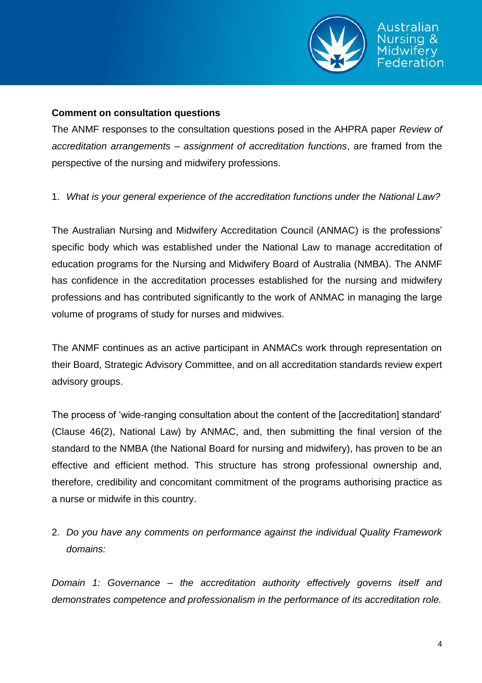

#### **Comment on consultation questions**

The ANMF responses to the consultation questions posed in the AHPRA paper *Review of accreditation arrangements – assignment of accreditation functions*, are framed from the perspective of the nursing and midwifery professions.

#### 1. *What is your general experience of the accreditation functions under the National Law?*

The Australian Nursing and Midwifery Accreditation Council (ANMAC) is the professions' specific body which was established under the National Law to manage accreditation of education programs for the Nursing and Midwifery Board of Australia (NMBA). The ANMF has confidence in the accreditation processes established for the nursing and midwifery professions and has contributed significantly to the work of ANMAC in managing the large volume of programs of study for nurses and midwives.

The ANMF continues as an active participant in ANMACs work through representation on their Board, Strategic Advisory Committee, and on all accreditation standards review expert advisory groups.

The process of 'wide-ranging consultation about the content of the [accreditation] standard' (Clause 46(2), National Law) by ANMAC, and, then submitting the final version of the standard to the NMBA (the National Board for nursing and midwifery), has proven to be an effective and efficient method. This structure has strong professional ownership and, therefore, credibility and concomitant commitment of the programs authorising practice as a nurse or midwife in this country.

## 2. *Do you have any comments on performance against the individual Quality Framework domains:*

*Domain 1: Governance – the accreditation authority effectively governs itself and demonstrates competence and professionalism in the performance of its accreditation role.*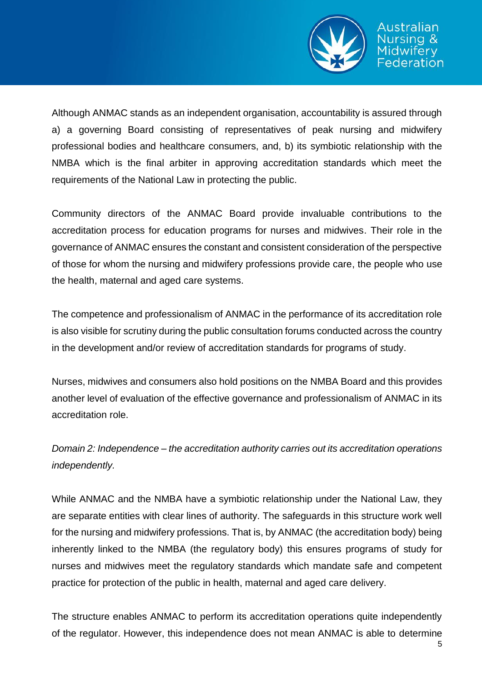

Although ANMAC stands as an independent organisation, accountability is assured through a) a governing Board consisting of representatives of peak nursing and midwifery professional bodies and healthcare consumers, and, b) its symbiotic relationship with the NMBA which is the final arbiter in approving accreditation standards which meet the requirements of the National Law in protecting the public.

Community directors of the ANMAC Board provide invaluable contributions to the accreditation process for education programs for nurses and midwives. Their role in the governance of ANMAC ensures the constant and consistent consideration of the perspective of those for whom the nursing and midwifery professions provide care, the people who use the health, maternal and aged care systems.

The competence and professionalism of ANMAC in the performance of its accreditation role is also visible for scrutiny during the public consultation forums conducted across the country in the development and/or review of accreditation standards for programs of study.

Nurses, midwives and consumers also hold positions on the NMBA Board and this provides another level of evaluation of the effective governance and professionalism of ANMAC in its accreditation role.

*Domain 2: Independence – the accreditation authority carries out its accreditation operations independently.* 

While ANMAC and the NMBA have a symbiotic relationship under the National Law, they are separate entities with clear lines of authority. The safeguards in this structure work well for the nursing and midwifery professions. That is, by ANMAC (the accreditation body) being inherently linked to the NMBA (the regulatory body) this ensures programs of study for nurses and midwives meet the regulatory standards which mandate safe and competent practice for protection of the public in health, maternal and aged care delivery.

The structure enables ANMAC to perform its accreditation operations quite independently of the regulator. However, this independence does not mean ANMAC is able to determine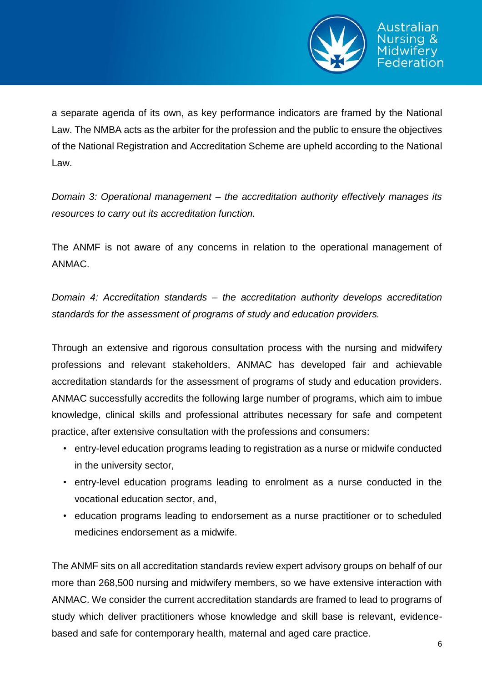

a separate agenda of its own, as key performance indicators are framed by the National Law. The NMBA acts as the arbiter for the profession and the public to ensure the objectives of the National Registration and Accreditation Scheme are upheld according to the National Law.

*Domain 3: Operational management – the accreditation authority effectively manages its resources to carry out its accreditation function.* 

The ANMF is not aware of any concerns in relation to the operational management of ANMAC.

*Domain 4: Accreditation standards – the accreditation authority develops accreditation standards for the assessment of programs of study and education providers.* 

Through an extensive and rigorous consultation process with the nursing and midwifery professions and relevant stakeholders, ANMAC has developed fair and achievable accreditation standards for the assessment of programs of study and education providers. ANMAC successfully accredits the following large number of programs, which aim to imbue knowledge, clinical skills and professional attributes necessary for safe and competent practice, after extensive consultation with the professions and consumers:

- entry-level education programs leading to registration as a nurse or midwife conducted in the university sector,
- entry-level education programs leading to enrolment as a nurse conducted in the vocational education sector, and,
- education programs leading to endorsement as a nurse practitioner or to scheduled medicines endorsement as a midwife.

The ANMF sits on all accreditation standards review expert advisory groups on behalf of our more than 268,500 nursing and midwifery members, so we have extensive interaction with ANMAC. We consider the current accreditation standards are framed to lead to programs of study which deliver practitioners whose knowledge and skill base is relevant, evidencebased and safe for contemporary health, maternal and aged care practice.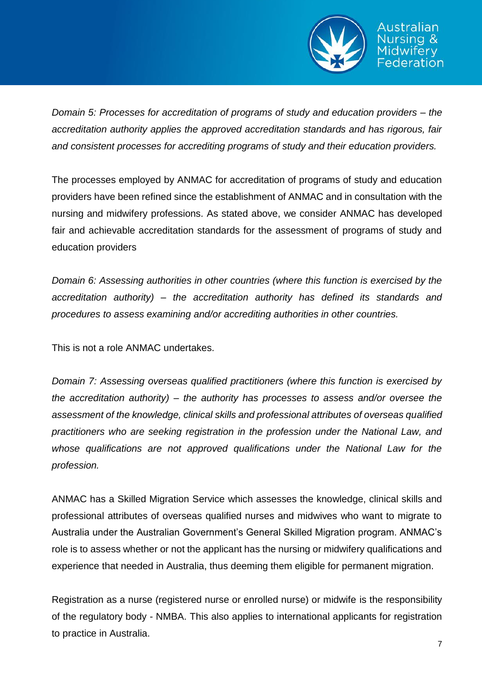

deration

*Domain 5: Processes for accreditation of programs of study and education providers – the accreditation authority applies the approved accreditation standards and has rigorous, fair and consistent processes for accrediting programs of study and their education providers.* 

The processes employed by ANMAC for accreditation of programs of study and education providers have been refined since the establishment of ANMAC and in consultation with the nursing and midwifery professions. As stated above, we consider ANMAC has developed fair and achievable accreditation standards for the assessment of programs of study and education providers

*Domain 6: Assessing authorities in other countries (where this function is exercised by the accreditation authority) – the accreditation authority has defined its standards and procedures to assess examining and/or accrediting authorities in other countries.* 

This is not a role ANMAC undertakes.

*Domain 7: Assessing overseas qualified practitioners (where this function is exercised by the accreditation authority) – the authority has processes to assess and/or oversee the assessment of the knowledge, clinical skills and professional attributes of overseas qualified practitioners who are seeking registration in the profession under the National Law, and whose qualifications are not approved qualifications under the National Law for the profession.* 

ANMAC has a Skilled Migration Service which assesses the knowledge, clinical skills and professional attributes of overseas qualified nurses and midwives who want to migrate to Australia under the Australian Government's General Skilled Migration program. ANMAC's role is to assess whether or not the applicant has the nursing or midwifery qualifications and experience that needed in Australia, thus deeming them eligible for permanent migration.

Registration as a nurse (registered nurse or enrolled nurse) or midwife is the responsibility of the regulatory body - NMBA. This also applies to international applicants for registration to practice in Australia.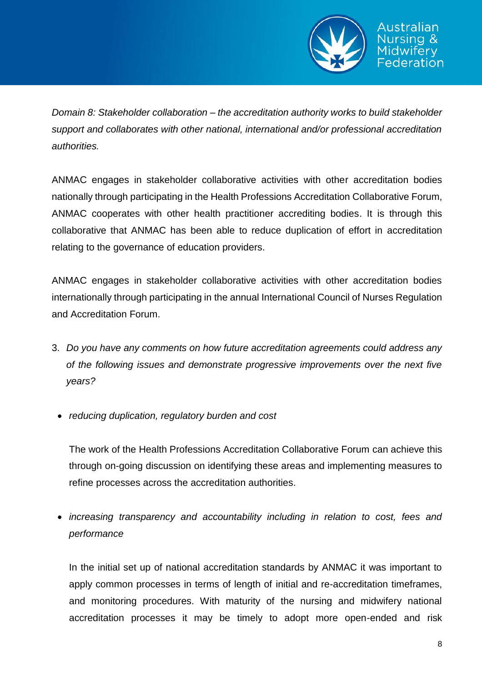

*Domain 8: Stakeholder collaboration – the accreditation authority works to build stakeholder support and collaborates with other national, international and/or professional accreditation authorities.* 

ANMAC engages in stakeholder collaborative activities with other accreditation bodies nationally through participating in the Health Professions Accreditation Collaborative Forum, ANMAC cooperates with other health practitioner accrediting bodies. It is through this collaborative that ANMAC has been able to reduce duplication of effort in accreditation relating to the governance of education providers.

ANMAC engages in stakeholder collaborative activities with other accreditation bodies internationally through participating in the annual International Council of Nurses Regulation and Accreditation Forum.

- 3. *Do you have any comments on how future accreditation agreements could address any of the following issues and demonstrate progressive improvements over the next five years?*
- *reducing duplication, regulatory burden and cost*

The work of the Health Professions Accreditation Collaborative Forum can achieve this through on-going discussion on identifying these areas and implementing measures to refine processes across the accreditation authorities.

 *increasing transparency and accountability including in relation to cost, fees and performance*

In the initial set up of national accreditation standards by ANMAC it was important to apply common processes in terms of length of initial and re-accreditation timeframes, and monitoring procedures. With maturity of the nursing and midwifery national accreditation processes it may be timely to adopt more open-ended and risk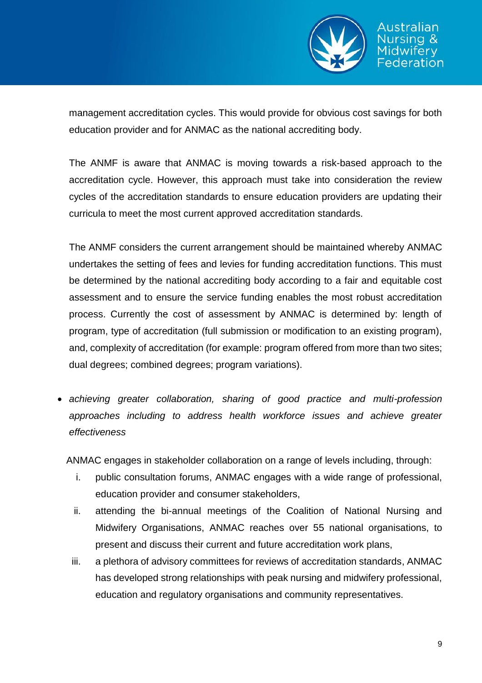

eration

management accreditation cycles. This would provide for obvious cost savings for both education provider and for ANMAC as the national accrediting body.

The ANMF is aware that ANMAC is moving towards a risk-based approach to the accreditation cycle. However, this approach must take into consideration the review cycles of the accreditation standards to ensure education providers are updating their curricula to meet the most current approved accreditation standards.

The ANMF considers the current arrangement should be maintained whereby ANMAC undertakes the setting of fees and levies for funding accreditation functions. This must be determined by the national accrediting body according to a fair and equitable cost assessment and to ensure the service funding enables the most robust accreditation process. Currently the cost of assessment by ANMAC is determined by: length of program, type of accreditation (full submission or modification to an existing program), and, complexity of accreditation (for example: program offered from more than two sites; dual degrees; combined degrees; program variations).

 *achieving greater collaboration, sharing of good practice and multi-profession approaches including to address health workforce issues and achieve greater effectiveness* 

ANMAC engages in stakeholder collaboration on a range of levels including, through:

- i. public consultation forums, ANMAC engages with a wide range of professional, education provider and consumer stakeholders,
- ii. attending the bi-annual meetings of the Coalition of National Nursing and Midwifery Organisations, ANMAC reaches over 55 national organisations, to present and discuss their current and future accreditation work plans,
- iii. a plethora of advisory committees for reviews of accreditation standards, ANMAC has developed strong relationships with peak nursing and midwifery professional, education and regulatory organisations and community representatives.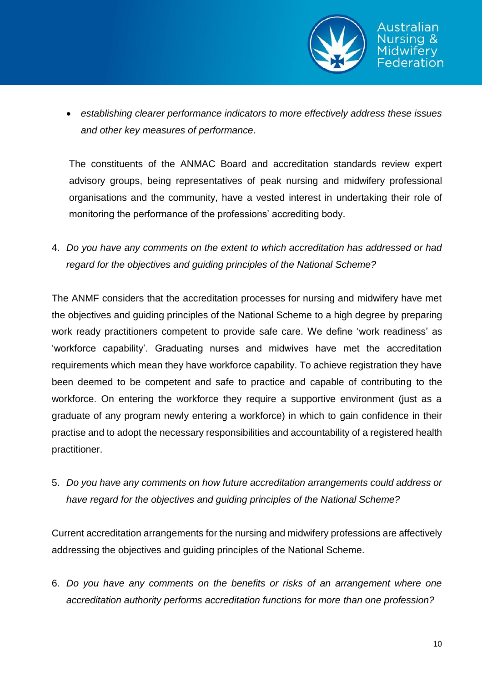

 *establishing clearer performance indicators to more effectively address these issues and other key measures of performance*.

The constituents of the ANMAC Board and accreditation standards review expert advisory groups, being representatives of peak nursing and midwifery professional organisations and the community, have a vested interest in undertaking their role of monitoring the performance of the professions' accrediting body.

4. *Do you have any comments on the extent to which accreditation has addressed or had regard for the objectives and guiding principles of the National Scheme?* 

The ANMF considers that the accreditation processes for nursing and midwifery have met the objectives and guiding principles of the National Scheme to a high degree by preparing work ready practitioners competent to provide safe care. We define 'work readiness' as 'workforce capability'. Graduating nurses and midwives have met the accreditation requirements which mean they have workforce capability. To achieve registration they have been deemed to be competent and safe to practice and capable of contributing to the workforce. On entering the workforce they require a supportive environment (just as a graduate of any program newly entering a workforce) in which to gain confidence in their practise and to adopt the necessary responsibilities and accountability of a registered health practitioner.

5. *Do you have any comments on how future accreditation arrangements could address or have regard for the objectives and guiding principles of the National Scheme?* 

Current accreditation arrangements for the nursing and midwifery professions are affectively addressing the objectives and guiding principles of the National Scheme.

6. *Do you have any comments on the benefits or risks of an arrangement where one accreditation authority performs accreditation functions for more than one profession?*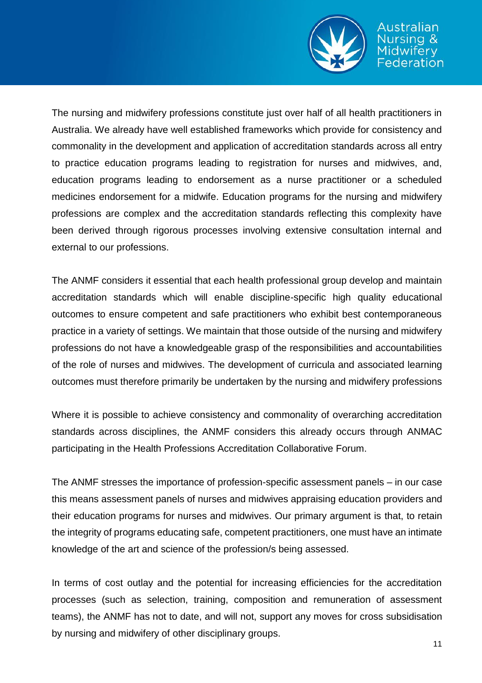

The nursing and midwifery professions constitute just over half of all health practitioners in Australia. We already have well established frameworks which provide for consistency and commonality in the development and application of accreditation standards across all entry to practice education programs leading to registration for nurses and midwives, and, education programs leading to endorsement as a nurse practitioner or a scheduled medicines endorsement for a midwife. Education programs for the nursing and midwifery professions are complex and the accreditation standards reflecting this complexity have been derived through rigorous processes involving extensive consultation internal and external to our professions.

The ANMF considers it essential that each health professional group develop and maintain accreditation standards which will enable discipline-specific high quality educational outcomes to ensure competent and safe practitioners who exhibit best contemporaneous practice in a variety of settings. We maintain that those outside of the nursing and midwifery professions do not have a knowledgeable grasp of the responsibilities and accountabilities of the role of nurses and midwives. The development of curricula and associated learning outcomes must therefore primarily be undertaken by the nursing and midwifery professions

Where it is possible to achieve consistency and commonality of overarching accreditation standards across disciplines, the ANMF considers this already occurs through ANMAC participating in the Health Professions Accreditation Collaborative Forum.

The ANMF stresses the importance of profession-specific assessment panels – in our case this means assessment panels of nurses and midwives appraising education providers and their education programs for nurses and midwives. Our primary argument is that, to retain the integrity of programs educating safe, competent practitioners, one must have an intimate knowledge of the art and science of the profession/s being assessed.

In terms of cost outlay and the potential for increasing efficiencies for the accreditation processes (such as selection, training, composition and remuneration of assessment teams), the ANMF has not to date, and will not, support any moves for cross subsidisation by nursing and midwifery of other disciplinary groups.